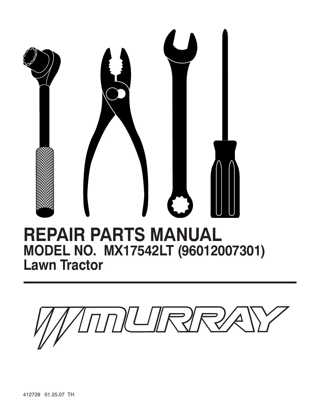

## **REPAIR PARTS MANUAL MODEL NO. MX17542LT (96012007301) Lawn Tractor**

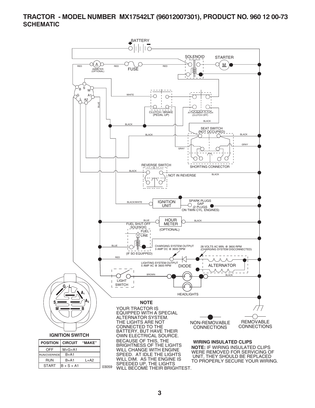#### **TRACTOR - MODEL NUMBER MX17542LT (96012007301), PRODUCT NO. 960 12 00-73 SCHEMATIC**

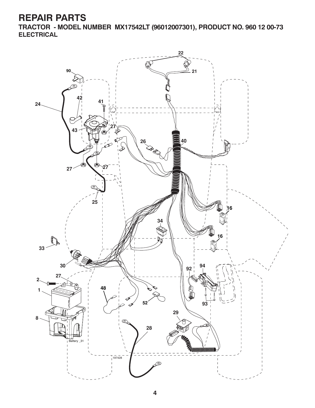**TRACTOR - MODEL NUMBER MX17542LT (96012007301), PRODUCT NO. 960 12 00-73 ELECTRICAL**

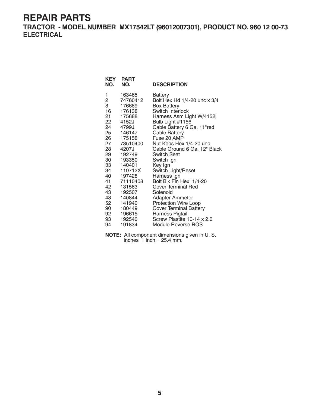**TRACTOR - MODEL NUMBER MX17542LT (96012007301), PRODUCT NO. 960 12 00-73 ELECTRICAL**

| KEY<br>NO.               | <b>PART</b><br>NO.           | <b>DESCRIPTION</b>                                            |
|--------------------------|------------------------------|---------------------------------------------------------------|
| 1<br>$\overline{2}$<br>8 | 163465<br>74760412<br>176689 | Battery<br>Bolt Hex Hd 1/4-20 unc x 3/4<br><b>Box Battery</b> |
| 16                       | 176138                       | Switch Interlock                                              |
| 21                       | 175688                       | Harness Asm Light W/4152j                                     |
| 22                       | 4152J<br>24 4799J            | Bulb Light #1156<br>Cable Battery 6 Ga. 11"red                |
|                          | 25 146147                    | <b>Cable Battery</b>                                          |
| 26 —                     | 175158                       | Fuse 20 AMP                                                   |
|                          | 27 73510400                  | Nut Keps Hex 1/4-20 unc                                       |
| 28                       | 4207J                        | Cable Ground 6 Ga. 12" Black                                  |
| 29                       | 192749                       | <b>Switch Seat</b>                                            |
|                          | 30 193350                    | Switch Ign                                                    |
| 33                       | 140401                       | Key Ign                                                       |
| 34                       | 110712X                      | Switch Light/Reset                                            |
|                          | 40 197428                    | Harness Ign                                                   |
| 41                       | 71110408                     | Bolt Blk Fin Hex 1/4-20                                       |
| 42                       | 131563                       | <b>Cover Terminal Red</b>                                     |
|                          | 43 192507                    | Solenoid                                                      |
| 48                       | 140844                       | Adapter Ammeter                                               |
|                          | 52 141940                    | <b>Protection Wire Loop</b>                                   |
|                          | 90 180449                    | <b>Cover Terminal Battery</b>                                 |
| 92                       | 196615                       | Harness Pigtail                                               |
| 93                       | 192540                       | Screw Plastite 10-14 x 2.0                                    |
| 94                       | 191834                       | Module Reverse ROS                                            |

**NOTE:** All component dimensions given in U. S. inches  $1$  inch = 25.4 mm.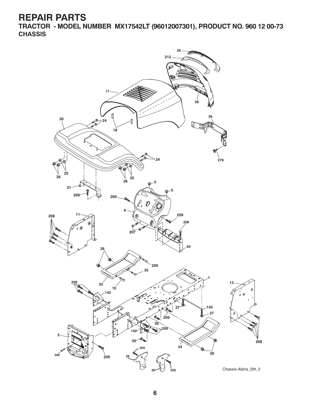**TRACTOR - MODEL NUMBER MX17542LT (96012007301), PRODUCT NO. 960 12 00-73 CHASSIS**

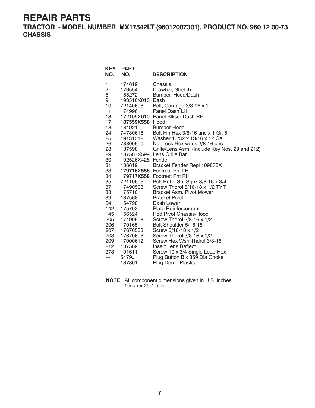**TRACTOR - MODEL NUMBER MX17542LT (96012007301), PRODUCT NO. 960 12 00-73 CHASSIS**

| KEY<br>NO.                                                                                                                                                                          | <b>PART</b><br>NO.                                                                                                                                                                                                                                                                                           | <b>DESCRIPTION</b>                                                                                                                                                                                                                                                                                                                                                                                                                                                                                                                                                                                                                                                                                                                                                                                      |
|-------------------------------------------------------------------------------------------------------------------------------------------------------------------------------------|--------------------------------------------------------------------------------------------------------------------------------------------------------------------------------------------------------------------------------------------------------------------------------------------------------------|---------------------------------------------------------------------------------------------------------------------------------------------------------------------------------------------------------------------------------------------------------------------------------------------------------------------------------------------------------------------------------------------------------------------------------------------------------------------------------------------------------------------------------------------------------------------------------------------------------------------------------------------------------------------------------------------------------------------------------------------------------------------------------------------------------|
| 1<br>2<br>5<br>9<br>10<br>11<br>13<br>17<br>18<br>24<br>25<br>26<br>28<br>29<br>30<br>31<br>33<br>34<br>35<br>37<br>38<br>39<br>64<br>142<br>145<br>205<br>206<br>207<br>208<br>209 | 174619<br>176554<br>155272<br>193510X010<br>72140608<br>174996<br>187559X558 Hood<br>184921<br>74780616<br>19131312<br>73800600<br>187598<br>192526X428 Fender<br>136619<br>72110606<br>17490508<br>175710<br>187568<br>154798<br>175702<br>156524<br>17490608<br>170165<br>17670508<br>17670608<br>17000612 | Chassis<br>Drawbar, Stretch<br>Bumper, Hood/Dash<br>Dash<br>Bolt, Carriage 3/8-16 x 1<br>Panel Dash LH<br>172105X010 Panel Slkscr Dash RH<br><b>Bumper Hood</b><br>Bolt Fin Hex 3/8-16 unc x 1 Gr. 5<br>Washer 13/32 x 13/16 x 12 Ga.<br>Nut Lock Hex w/Ins 3/8-16 unc<br>Grille/Lens Asm. (Include Key Nos. 29 and 212)<br>187567X599 Lens Grille Bar<br>Bracket Fender Repl 109873X<br>179716X558 Footrest Pnt LH<br>179717X558 Footrest Pnt RH<br>Bolt Rdhd Sht Sqnk 3/8-16 x 3/4<br>Screw Thdrol 5/16-18 x 1/2 TYT<br><b>Bracket Asm. Pivot Mower</b><br><b>Bracket Pivot</b><br>Dash Lower<br><b>Plate Reinforcement</b><br>Rod Pivot Chassis/Hood<br>Screw Thdrol $3/8-16 \times 1/2$<br>Bolt Shoulder 5/16-18<br>Screw 5/16-18 x 1/2<br>Screw Thdrol 3/8-16 x 1/2<br>Screw Hex Wsh Thdrol 3/8-16 |
| 212<br>278<br>---<br>- -                                                                                                                                                            | 187569<br>191611<br>5479J<br>187801                                                                                                                                                                                                                                                                          | Insert Lens Reflect<br>Screw 10 x 3/4 Single Lead Hex<br>Plug Button Blk 359 Dia Choke<br>Plug Dome Plastic                                                                                                                                                                                                                                                                                                                                                                                                                                                                                                                                                                                                                                                                                             |
|                                                                                                                                                                                     |                                                                                                                                                                                                                                                                                                              |                                                                                                                                                                                                                                                                                                                                                                                                                                                                                                                                                                                                                                                                                                                                                                                                         |

| <b>NOTE:</b> All component dimensions given in U.S. inches |
|------------------------------------------------------------|
| 1 inch = $25.4$ mm.                                        |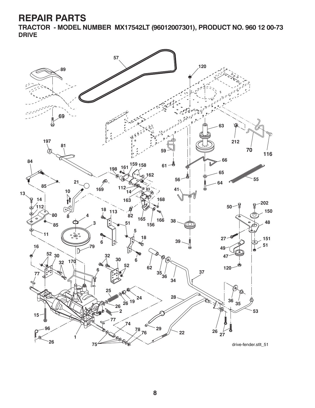**TRACTOR - MODEL NUMBER MX17542LT (96012007301), PRODUCT NO. 960 12 00-73 DRIVE**

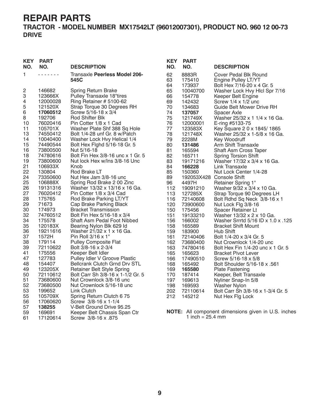#### **TRACTOR - MODEL NUMBER MX17542LT (96012007301), PRODUCT NO. 960 12 00-73 DRIVE**

| KEY<br>NO.           | PART<br>NO.                             | <b>DESCRIPTION</b>                                                                                              |
|----------------------|-----------------------------------------|-----------------------------------------------------------------------------------------------------------------|
| 1                    |                                         | Transaxle <b>Peerless Model 206-</b><br>545C                                                                    |
| 2                    | 146682                                  | <b>Spring Return Brake</b>                                                                                      |
| 3                    | 123666X                                 | <b>Pulley Transaxle 18"tires</b>                                                                                |
| 4                    | 12000028                                | Ring Retainer # 5100-62                                                                                         |
| 5                    | 121520X                                 | Strap Torque 30 Degrees RH                                                                                      |
| 6                    | 17060512                                | Screw 5/16-18 x 3/4                                                                                             |
| 8                    | 192706                                  | Rod Shifter Blk                                                                                                 |
| 10                   | 76020416                                | Pin Cotter 1/8 x 1 Cad                                                                                          |
| 11                   | 105701X                                 | Washer Plate Shf 388 Sq Hole                                                                                    |
| 13                   | 74550412                                | Bolt 1/4-28 unf Gr. 8 w/Patch                                                                                   |
| 14                   | 10040400                                | Washer Lock Hvy Helical 1/4                                                                                     |
| 15                   | 74490544                                | Bolt Hex Fighd 5/16-18 Gr. 5                                                                                    |
| 16                   | 73800500                                | Nut 5/16-18                                                                                                     |
| 18                   | 74780616                                | Bolt Fin Hex 3/8-16 unc x 1 Gr. 5                                                                               |
| 19                   | 73800600                                | Nut lock Hex w/Ins 3/8-16 Unc                                                                                   |
| 21                   | 106933X                                 | Knob                                                                                                            |
| 22<br>24<br>25<br>26 | 130804<br>73350600<br>106888X           | Rod Brake LT<br>Nut Hex Jam 3/8-16 unc<br>Spring Rod Brake 2 00 Zinc                                            |
| 27<br>28<br>29       | 19131316<br>76020412<br>175765<br>71673 | Washer 13/32 x 13/16 x 16 Ga.<br>Pin Cotter 1/8 x 3/4 Cad<br>Rod Brake Parking LT/YT<br>Cap Brake Parking Black |
| 30                   | 174973                                  | Bracket Transmission                                                                                            |
| 32                   | 74760512                                | Bolt Fin Hex 5/16-18 x 3/4                                                                                      |
| 34                   | 175578                                  | Shaft Asm Pedal Foot Nibbed                                                                                     |
| 35                   | 120183X                                 | Bearing Nylon Blk 629 Id                                                                                        |
| 36                   | 19211616                                | Washer 21/32 x 1 x 16 Ga.                                                                                       |
| 37                   | 1572H                                   | Pin Roll 3/16 x 1"                                                                                              |
| 38                   | 179114                                  | <b>Pulley Composite Flat</b>                                                                                    |
| 39                   | 72110622                                | Bolt 3/8-16 x 2-3/4                                                                                             |
| 41                   | 175556                                  | Keeper Belt Idler                                                                                               |
| 47                   | 127783                                  | Pulley Idler V Groove Plastic                                                                                   |
| 48                   | 154407                                  | Bellcrank Clutch Grnd Drv STL                                                                                   |
| 49                   | 123205X                                 | <b>Retainer Belt Style Spring</b>                                                                               |
| 50                   | 72110612                                | Bolt Carr Sh 3/8-16 x 1-1/2 Gr. 5                                                                               |
| 51                   | 73680600                                | Nut Crownlock 3/8-16 unc                                                                                        |
| 52                   | 73680500                                | Nut Crownlock 5/16-18 unc                                                                                       |
| 53                   | 199652                                  | Link Clutch                                                                                                     |
| 55                   | 105709X                                 | Spring Return Clutch 6 75                                                                                       |
| 56                   | 17060620                                | Screw 3/8-16 x 1-1/4                                                                                            |
| 57                   | 138255                                  | V-Belt Ground Drive 95.25                                                                                       |
| 59                   | 169691                                  | Keeper Belt Chassis Span Ctr                                                                                    |
| 61                   | 17120614                                | Screw 3/8-16 x .875                                                                                             |

| <b>KEY</b> | <b>PART</b> |                                     |
|------------|-------------|-------------------------------------|
| NO.        | NO.         | <b>DESCRIPTION</b>                  |
| 62         | 8883R       | <b>Cover Pedal Blk Round</b>        |
| 63         | 175410      | Engine Pulley LT/YT                 |
| 64         | 173937      | Bolt Hex 7/16-20 x 4 Gr. 5          |
| 65         | 10040700    | Washer Lock Hvy Hlcl Spr 7/16       |
| 66         | 154778      | Keeper Belt Engine                  |
| 69         | 142432      | Screw $1/4 \times 1/2$ unc          |
| 70         | 134683      | <b>Guide Belt Mower Drive RH</b>    |
| 74         | 137057      | Spacer Axle                         |
| 75         | 121749X     | Washer 25/32 x 1 1/4 x 16 Ga.       |
| 76         | 12000001    | E-ring #5133-75                     |
| 77         | 123583X     | Key Square 2 0 x 1845/1865          |
| 78         | 121748X     | Washer 25/32 x 1-5/8 x 16 Ga.       |
| 79         | 2228M       | Key Woodruff                        |
| 80         | 131486      | <b>Arm Shift Transaxle</b>          |
| 81         | 165594      | <b>Shaft Asm Cross Taper</b>        |
| 82         | 165711      | Spring Torsion Shift                |
| 83         | 19171216    | Washer 17/32 x 3/4 x 16 Ga.         |
| 84         | 166228      | Link Transaxle                      |
| 85         | 150360      | Nut Lock Center 1/4-28              |
| 89         | 192053X428  | Console Shift                       |
| 96         | 4497H       | <b>Retainer Spring 1"</b>           |
| 112        | 19091210    | Washer 9/32 x 3/4 x 10 Ga.          |
| 113        | 127285X     | Strap Torque 90 Degrees LH          |
| 116        | 72140608    | Bolt Rdhd Sq Neck 3/8-16 x 1        |
| 120        | 73900600    | Nut Lock Flg 3/8-16                 |
| 150        | 175456      | <b>Spacer Retainer Lt</b>           |
| 151        | 19133210    | Washer 13/32 x 2 x 10 Ga.           |
| 156        | 166002      | Washer Srrrtd 5/16 ID x 1.0 x .125  |
| 158        | 165589      | <b>Bracket Shift Mount</b>          |
| 159        | 183900      | Hub Shift                           |
| 161        | 72140406    | Bolt 1/4-20 x 3/4 Gr. 5             |
| 162        | 73680400    | Nut Crownlock 1/4-20 unc            |
| 163        | 74780416    | Bolt Hex Fin 1/4-20 unc x 1 Gr. 5   |
| 165        | 165623      | <b>Bracket Pivot Lever</b>          |
| 166        | 17490510    | Screw 5/16-18 x 5/8                 |
| 168        | 165492      | <b>Bolt Shoulder 5/16-18 x .561</b> |
| 169        | 165580      | <b>Plate Fastening</b>              |
| 170        | 187414      | Keeper, Belt Transaxle              |
| 197        | 169613      | Nyliner Snap-In 5/8                 |
| 198        | 169593      | <b>Washer Nylon</b>                 |
| 202        | 72110614    | Bolt Carr Sh 3/8-16 x 1-3/4 Gr. 5   |
| 212        | 145212      | Nut Hex Flg Lock                    |

**NOTE:** All component dimensions given in U.S. inches 1 inch =  $25.4 \, \text{mm}$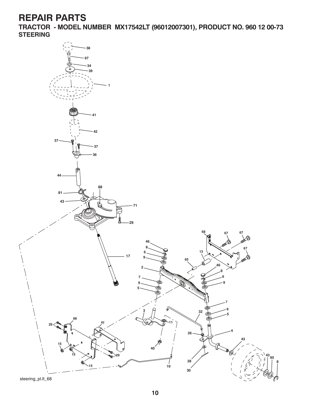**TRACTOR - MODEL NUMBER MX17542LT (96012007301), PRODUCT NO. 960 12 00-73 STEERING**

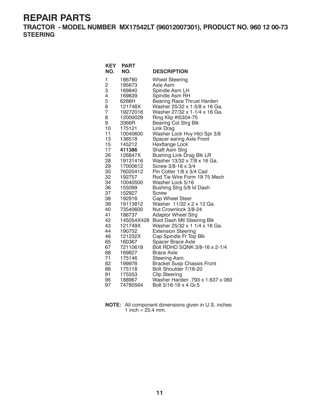**TRACTOR - MODEL NUMBER MX17542LT (96012007301), PRODUCT NO. 960 12 00-73 STEERING**

| <b>KEY</b><br>NO. | <b>PART</b><br>NO. | <b>DESCRIPTION</b>                |
|-------------------|--------------------|-----------------------------------|
| 1                 | 186780             | <b>Wheel Steering</b>             |
| $\overline{c}$    | 195673             | Axle Asm                          |
| 3                 | 169840             | Spindle Asm LH                    |
| 4                 | 169839             | Spindle Asm RH                    |
| 5                 | 6266H              | <b>Bearing Race Thrust Harden</b> |
| 6                 | 121748X            | Washer 25/32 x 1-5/8 x 16 Ga.     |
| 7                 | 19272016           | Washer 27/32 x 1-1/4 x 16 Ga.     |
| 8                 | 12000029           | Ring Klip #t5304-75               |
| 9                 | 3366R              | Bearing Col Strg Blk              |
| 10                | 175121             | Link Drag                         |
| 11                | 10040600           | Washer Lock Hvy Hlcl Spr 3/8      |
| 13                | 136518             | Spacer earing Axle Front          |
| 15                | 145212             | Hexflange Lock                    |
| 17                | 411386             | Shaft Asm Strg                    |
| 26                | 126847X            | Bushing Link Drag Blk LR          |
| 28                | 19131416           | Washer 13/32 x 7/8 x 16 Ga.       |
| 29                | 17000612           | Screw 3/8-16 x 3/4                |
| 30                | 76020412           | Pin Cotter 1/8 x 3/4 Cad          |
| 32                | 192757             | Rod Tie Wire Form 19 75 Mech      |
| 34                | 10040500           | Washer Lock 5/16                  |
| 36                | 155099             | Bushing Strg 5/8 ld Dash          |
| 37                | 152927             | Screw                             |
| 38                | 192916             | Cap Wheel Steer                   |
| 39                | 19113812           | Washer 11/32 x 2 x 12 Ga.         |
| 40                | 73540600           | Nut Crownlock 3/8-24              |
| 41                | 186737             | <b>Adaptor Wheel Strg</b>         |
| 42                | 145054X428         | Boot Dash Mtl Steering Blk        |
| 43                | 121749X            | Washer 25/32 x 1 1/4 x 16 Ga.     |
| 44                | 190752             | <b>Extension Steering</b>         |
| 46                | 121232X            | Cap Spindle Fr Top Blk            |
| 65                | 160367             | Spacer Brace Axle                 |
| 67                | 72110618           | Bolt RDHD SQNK 3/8-16 x 2-1/4     |
| 68                | 169827             | <b>Brace Axle</b>                 |
| 71                | 175146             | Steering Asm.                     |
| 82                | 199978             | <b>Bracket Susp Chassis Front</b> |
| 88<br>91          | 175118             | Bolt Shoulder 7/16-20             |
|                   | 175553             | <b>Clip Steering</b>              |
| 95                | 188967             | Washer Harden .793 x 1.637 x 060  |
| 97                | 74780564           | Bolt 5/16-18 x 4 Gr.5             |

**NOTE:** All component dimensions given in U.S. inches 1 inch =  $25.4$  mm.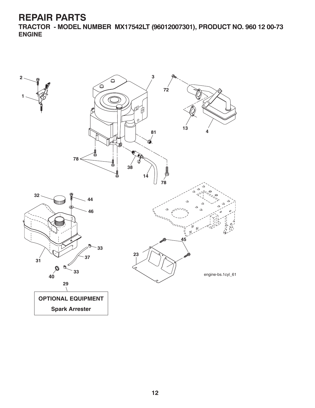**TRACTOR - MODEL NUMBER MX17542LT (96012007301), PRODUCT NO. 960 12 00-73 ENGINE**

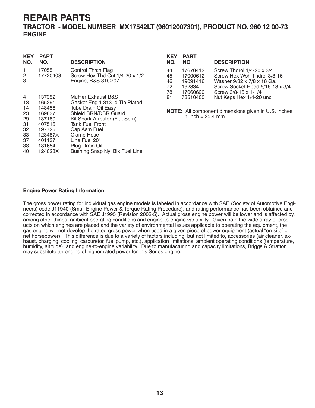#### **TRACTOR - MODEL NUMBER MX17542LT (96012007301), PRODUCT NO. 960 12 00-73 ENGINE**

| KEY<br>NO.                                                    | PART<br>NO.                                                                                                  | <b>DESCRIPTION</b>                                                                                                                                                                                                                                                                |
|---------------------------------------------------------------|--------------------------------------------------------------------------------------------------------------|-----------------------------------------------------------------------------------------------------------------------------------------------------------------------------------------------------------------------------------------------------------------------------------|
| 1<br>2<br>3                                                   | 170551<br>17720408                                                                                           | Control Th/ch Flag<br>Screw Hex Thd Cut $1/4$ -20 x $1/2$<br>Engine, B&S 31C707                                                                                                                                                                                                   |
| 4<br>13<br>14<br>23<br>29<br>31<br>32<br>33<br>37<br>38<br>40 | 137352<br>165291<br>148456<br>169837<br>137180<br>407516<br>197725<br>123487X<br>401137<br>181654<br>124028X | Muffler Exhaust B&S<br>Gasket Eng 1 313 ld Tin Plated<br><b>Tube Drain Oil Easy</b><br>Shield BRN/DBR Guard<br>Kit Spark Arrestor (Flat Scrn)<br><b>Tank Fuel Front</b><br>Cap Asm Fuel<br>Clamp Hose<br>Line Fuel 20"<br>Plug Drain Oil<br><b>Bushing Snap Nyl Blk Fuel Line</b> |

| <b>KEY</b><br>NO. | <b>PART</b><br>NO. | <b>DESCRIPTION</b>                  |
|-------------------|--------------------|-------------------------------------|
| 44                | 17670412           | Screw Thdrol $1/4$ -20 $\times$ 3/4 |
| 45                | 17000612           | Screw Hex Wsh Thdrol 3/8-16         |
| 46                | 19091416           | Washer 9/32 x 7/8 x 16 Ga.          |
| 72                | 192334             | Screw Socket Head 5/16-18 x 3/4     |
| 78                | 17060620           | Screw 3/8-16 x 1-1/4                |
| 81                | 73510400           | Nut Keps Hex 1/4-20 unc             |
|                   |                    |                                     |

**NOTE:** All component dimensions given in U.S. inches 1 inch =  $25.4 \, \text{mm}$ 

#### **Engine Power Rating Information**

The gross power rating for individual gas engine models is labeled in accordance with SAE (Society of Automotive Engineers) code J11940 (Small Engine Power & Torque Rating Procedure), and rating performance has been obtained and corrected in accordance with SAE J1995 (Revision 2002-5). Actual gross engine power will be lower and is affected by, among other things, ambient operating conditions and engine-to-engine variability. Given both the wide array of products on which engines are placed and the variety of environmental issues applicable to operating the equipment, the gas engine will not develop the rated gross power when used in a given piece of power equipment (actual "on-site" or net horsepower). This difference is due to a variety of factors including, but not limited to, accessories (air cleaner, exhaust, charging, cooling, carburetor, fuel pump, etc.), application limitations, ambient operating conditions (temperature, humidity, altitude), and engine-to-engine variability. Due to manufacturing and capacity limitations, Briggs & Stratton may substitute an engine of higher rated power for this Series engine.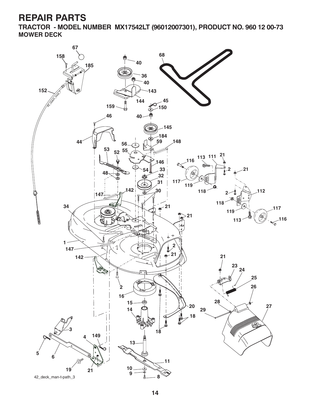**TRACTOR - MODEL NUMBER MX17542LT (96012007301), PRODUCT NO. 960 12 00-73 MOWER DECK**

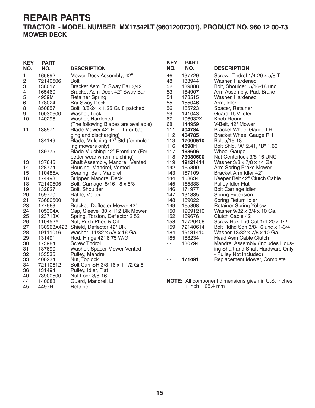**TRACTOR - MODEL NUMBER MX17542LT (96012007301), PRODUCT NO. 960 12 00-73 MOWER DECK**

| <b>KEY</b><br>NO. | <b>PART</b><br>NO. | <b>DESCRIPTION</b>                   | <b>KEY</b><br>NO. | <b>PART</b><br>NO.         | <b>DESCRIPTION</b>                                         |
|-------------------|--------------------|--------------------------------------|-------------------|----------------------------|------------------------------------------------------------|
| 1                 | 165892             | Mower Deck Assembly, 42"             | 46                | 137729                     | Screw, Thdrol 1/4-20 x 5/8 T                               |
| 2                 | 72140506           | <b>Bolt</b>                          | 48                | 133944                     | Washer, Hardened                                           |
| 3                 | 138017             | Bracket Asm Fr. Sway Bar 3/42        | 52                | 139888                     | Bolt, Shoulder 5/16-18 unc                                 |
| 4                 | 165460             | Bracket Asm Deck 42" Sway Bar        | 53                | 184907                     | Arm Assembly, Pad, Brake                                   |
| 5                 | 4939M              | <b>Retainer Spring</b>               | 54                | 178515                     | Washer, Hardened                                           |
| 6                 | 178024             | <b>Bar Sway Deck</b>                 | 55                | 155046                     | Arm, Idler                                                 |
| 8                 | 850857             | Bolt 3/8-24 x 1.25 Gr. 8 patched     | 56                | 165723                     | Spacer, Retainer                                           |
| 9                 | 10030600           | Washer, Lock                         | 59                | 141043                     | <b>Guard TUV Idler</b>                                     |
| 10                | 140296             | Washer, Hardened                     | 67                | 106932X                    | Knob Round                                                 |
|                   |                    | (The following Blades are available) | 68                | 144959                     | V-Belt, 42" Mower                                          |
| 11                | 138971             | Blade Mower 42" Hi-Lift (for bag-    | 111               | 404784                     | <b>Bracket Wheel Gauge LH</b>                              |
|                   |                    | ging and discharging)                | 112               | 404785                     | <b>Bracket Wheel Gauge RH</b>                              |
| $ -$              | 134149             | Blade, Mulching 42" Std (for mulch-  | 113               | 17000510                   | Bolt 5/16-18                                               |
|                   |                    | ing mowers only)                     | 116               | 4898H                      | Bolt Shid. "A" 2.41, "B" 1.66                              |
| $- -$             | 139775             | Blade Mulching 42" Premium (For      | 117               | 188606                     | <b>Wheel Gauge</b>                                         |
|                   |                    | better wear when mulching)           | 118               | 73930600                   | Nut Centerlock 3/8-16 UNC                                  |
| 13                | 137645             | Shaft Assembly, Mandrel, Vented      | 119               | 19121414                   | Washer 3/8 x 7/8 x 14 Ga.                                  |
| 14                | 128774             | Housing, Mandrel, Vented             | 142               | 165890                     | Arm Spring Brake Mower                                     |
| 15                | 110485X            | Bearing, Ball, Mandrel               | 143               | 157109                     | Bracket Arm Idler 42"                                      |
| 16                | 174493             | Stripper, Mandrel Deck               | 144               | 158634                     | Keeper Belt 42" Clutch Cable                               |
| 18                | 72140505           | Bolt, Carriage 5/16-18 x 5/8         | 145               | 165888                     | Pulley Idler Flat                                          |
| 19                | 132827             | Bolt, Shoulder                       | 146               | 171977                     | <b>Bolt Carriage Idler</b>                                 |
| 20                | 159770             | Baffle, Vortex                       | 147               | 131335                     | <b>Spring Extension</b>                                    |
| 21                | 73680500           | <b>Nut</b>                           | 148               | 169022                     | Spring Return Idler                                        |
| 23                | 177563             | Bracket, Deflector Mower 42"         | 149               | 165898                     | <b>Retainer Spring Yellow</b>                              |
| 24                | 105304X            | Cap, Sleeve 80 x 112 Blk Mower       | 150               | 19091210                   | Washer 9/32 x 3/4 x 10 Ga.                                 |
| 25                | 123713X            | Spring, Torsion, Deflector 2 52      | 152               | 169676                     | Clutch Cable 42"                                           |
| 26                | 110452X            | Nut, Push Phos & Oil                 | 158               | 17720408                   | Screw Hex Thd Cut $1/4$ -20 x $1/2$                        |
| 27                |                    | 130968X428 Shield, Deflector 42" Blk | 159               | 72140614                   | Bolt Rdhd Sqn 3/8-16 unc x 1-3/4                           |
| 28                | 19111016           | Washer 11/32 x 5/8 x 16 Ga.          | 184               | 19131410                   | Washer 13/32 x 7/8 x 10 Ga.                                |
| 29                | 131491             | Rod, Hinge 42" 6 75 W/G              | 185               | 188234                     | Head Asm Cable Clutch                                      |
| 30                | 173984             | <b>Screw Thdrol</b>                  | $\sim$ $-$        | 130794                     | Mandrel Assembly (Includes Hous-                           |
| 31                | 187690             | Washer, Spacer Mower Vented          |                   |                            | ing Shaft and Shaft Hardware Only                          |
| 32                | 153535             | Pulley, Mandrel                      |                   |                            | - Pulley Not Included)                                     |
| 33                | 400234             | Nut, Toplock                         | $\sim$ $\sim$     | 171491                     | Replacement Mower, Complete                                |
| 34                | 72110612           | Bolt Carr SH 3/8-16 x 1-1/2 Gr.5     |                   |                            |                                                            |
| 36                | 131494             | Pulley, Idler, Flat                  |                   |                            |                                                            |
| 40                | 73900600           | Nut Lock 3/8-16                      |                   |                            |                                                            |
| 44                | 140088             | Guard, Mandrel, LH                   |                   |                            | <b>NOTE:</b> All component dimensions given in U.S. inches |
| 45                | 4497H              | Retainer                             |                   | 1 inch = $25.4 \text{ mm}$ |                                                            |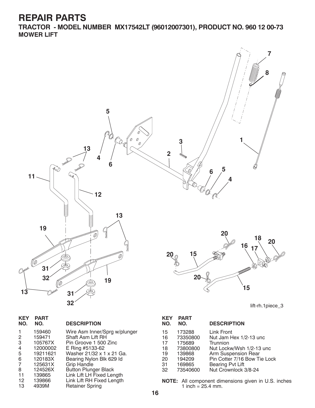**TRACTOR - MODEL NUMBER MX17542LT (96012007301), PRODUCT NO. 960 12 00-73 MOWER LIFT**



| <b>KEY</b><br>NO. | <b>PART</b><br>NO. | <b>DESCRIPTION</b>            |
|-------------------|--------------------|-------------------------------|
| 1                 | 159460             | Wire Asm Inner/Sprg w/plunger |
| 2                 | 159471             | Shaft Asm Lift RH             |
| 3                 | 105767X            | Pin Groove 1 500 Zinc         |
| 4                 | 12000002           | E Ring #5133-62               |
| 5                 | 19211621           | Washer 21/32 x 1 x 21 Ga.     |
| 6                 | 120183X            | Bearing Nylon Blk 629 Id      |
| 7                 | 125631X            | <b>Grip Handle</b>            |
| 8                 | 124526X            | <b>Button Plunger Black</b>   |
| 11                | 139865             | Link Lift LH Fixed Length     |
| 12                | 139866             | Link Lift RH Fixed Length     |
| 13                | 4939M              | <b>Retainer Spring</b>        |
|                   |                    |                               |

| <b>KEY</b><br>NO. | <b>PART</b><br>NO. | <b>DESCRIPTION</b>                 |
|-------------------|--------------------|------------------------------------|
| 15                | 173288             | Link Front                         |
| 16<br>17          | 73350800<br>175689 | Nut Jam Hex 1/2-13 unc<br>Trunnion |
| 18                | 73800800           | Nut Lockw/Wsh 1/2-13 unc           |
| 19                | 139868             | Arm Suspension Rear                |
| 20                | 194209             | Pin Cotter 7/16 Bow Tie Lock       |
| 31                | 169865             | <b>Bearing Pvt Lift</b>            |
| 32                | 73540600           | Nut Crownlock 3/8-24               |

**NOTE:** All component dimensions given in U.S. inches 1 inch =  $25.4$  mm.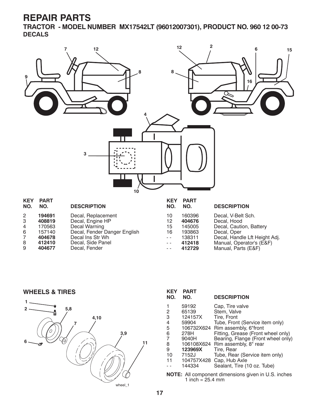**TRACTOR - MODEL NUMBER MX17542LT (96012007301), PRODUCT NO. 960 12 00-73 DECALS**



| -6 | 157140 | Decal, Fender Danger English |
|----|--------|------------------------------|
|    | 404678 | Decal Ins Str Wh             |
| -8 | 412410 | Decal. Side Panel            |
| -9 | 404677 | Decal, Fender                |

| .       | ◡   |
|---------|-----|
| 160396  | Dec |
| 404676  | Dec |
| 145005  | Dec |
| 193863  | Dec |
| 138311  | Dec |
| ,,,,,,, | 11  |

# ∘al, Oner

| 10  | າອວ໐ບວ        | Decal, Opel                   |
|-----|---------------|-------------------------------|
| - - | 138311        | Decal, Handle Lft Height Adj. |
|     | <b>AIOAIO</b> | $M$ onual Onorotorio (EPE)    |

- - **412418** Manual, Operator's (E&F) - - **412729** Manual, Parts (E&F)

**WHEELS & TIRES**



| <b>KEY</b><br>NO.                                          | <b>PART</b><br>NO. | <b>DESCRIPTION</b>                 |
|------------------------------------------------------------|--------------------|------------------------------------|
| 1                                                          | 59192              | Cap, Tire valve                    |
| 2                                                          | 65139              | Stem, Valve                        |
| 3                                                          | 124157X            | Tire, Front                        |
| 4                                                          | 59904              | Tube, Front (Service item only)    |
| 5                                                          |                    | 106732X624 Rim assembly, 6"front   |
| 6                                                          | 278H               | Fitting, Grease (Front wheel only) |
| 7                                                          | 9040H              | Bearing, Flange (Front wheel only) |
| 8                                                          |                    | 106108X624 Rim assembly, 8" rear   |
| 9                                                          | 123969X            | Tire, Rear                         |
| 10                                                         | 7152J              | Tube, Rear (Service item only)     |
| 11                                                         | 104757X428         | Cap, Hub Axle                      |
|                                                            | 144334             | Sealant, Tire (10 oz. Tube)        |
| <b>NOTE:</b> All component dimensions given in U.S. inches |                    |                                    |

**NOTE:** All component dimensions given in U.S. inches 1 inch =  $25.4 \text{ mm}$